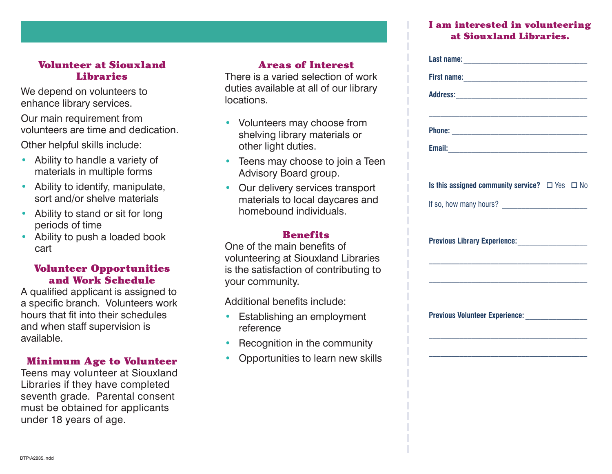# Volunteer at Siouxland Libraries

We depend on volunteers to enhance library services.

Our main requirement from volunteers are time and dedication.

Other helpful skills include:

- Ability to handle a variety of materials in multiple forms
- Ability to identify, manipulate, sort and/or shelve materials
- Ability to stand or sit for long periods of time
- Ability to push a loaded book cart

# Volunteer Opportunities and Work Schedule

A qualified applicant is assigned to a specific branch. Volunteers work hours that fit into their schedules and when staff supervision is available.

# Minimum Age to Volunteer

Teens may volunteer at Siouxland Libraries if they have completed seventh grade. Parental consent must be obtained for applicants under 18 years of age.

# Areas of Interest

There is a varied selection of work duties available at all of our library locations.

- Volunteers may choose from shelving library materials or other light duties.
- Teens may choose to join a Teen Advisory Board group.
- Our delivery services transport materials to local daycares and homebound individuals.

# **Benefits**

One of the main benefits of volunteering at Siouxland Libraries is the satisfaction of contributing to your community.

Additional benefits include:

- Establishing an employment reference
- Recognition in the community
- Opportunities to learn new skills

# I am interested in volunteering at Siouxland Libraries.

| Is this assigned community service? $\Box$ Yes $\Box$ No |  |
|----------------------------------------------------------|--|
|                                                          |  |
| Previous Library Experience: __________________          |  |
|                                                          |  |
| Previous Volunteer Experience: _________________         |  |
|                                                          |  |